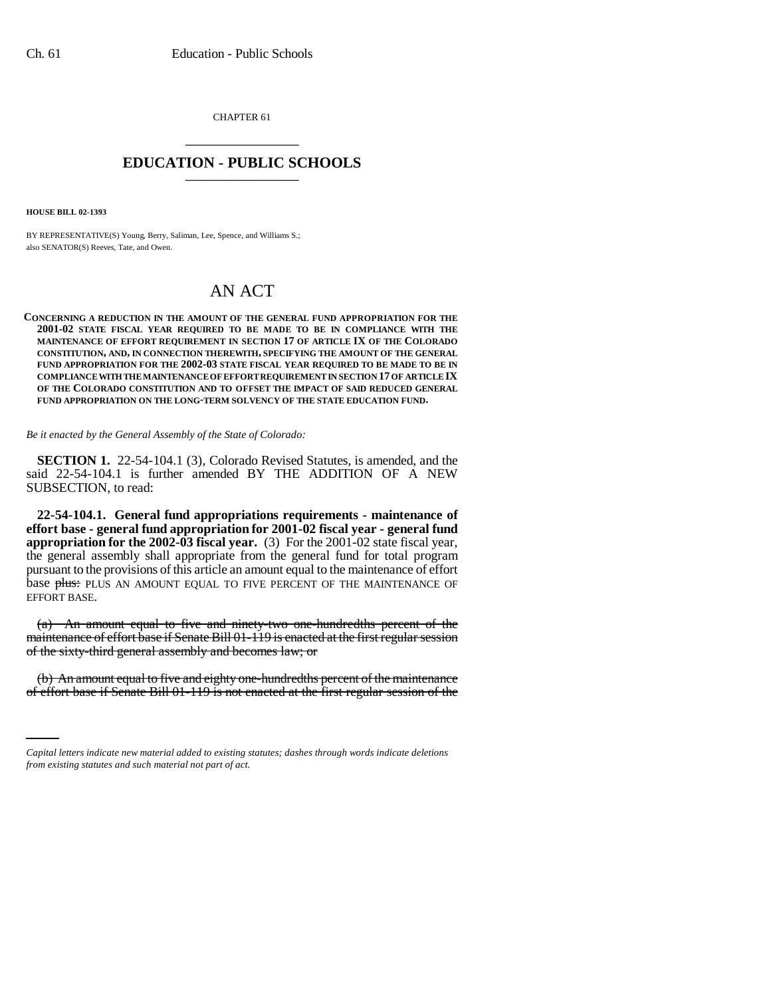CHAPTER 61 \_\_\_\_\_\_\_\_\_\_\_\_\_\_\_

## **EDUCATION - PUBLIC SCHOOLS** \_\_\_\_\_\_\_\_\_\_\_\_\_\_\_

**HOUSE BILL 02-1393**

BY REPRESENTATIVE(S) Young, Berry, Saliman, Lee, Spence, and Williams S.; also SENATOR(S) Reeves, Tate, and Owen.

## AN ACT

## **CONCERNING A REDUCTION IN THE AMOUNT OF THE GENERAL FUND APPROPRIATION FOR THE 2001-02 STATE FISCAL YEAR REQUIRED TO BE MADE TO BE IN COMPLIANCE WITH THE MAINTENANCE OF EFFORT REQUIREMENT IN SECTION 17 OF ARTICLE IX OF THE COLORADO CONSTITUTION, AND, IN CONNECTION THEREWITH, SPECIFYING THE AMOUNT OF THE GENERAL FUND APPROPRIATION FOR THE 2002-03 STATE FISCAL YEAR REQUIRED TO BE MADE TO BE IN COMPLIANCE WITH THE MAINTENANCE OF EFFORT REQUIREMENT IN SECTION 17 OF ARTICLE IX OF THE COLORADO CONSTITUTION AND TO OFFSET THE IMPACT OF SAID REDUCED GENERAL FUND APPROPRIATION ON THE LONG-TERM SOLVENCY OF THE STATE EDUCATION FUND.**

*Be it enacted by the General Assembly of the State of Colorado:*

**SECTION 1.** 22-54-104.1 (3), Colorado Revised Statutes, is amended, and the said 22-54-104.1 is further amended BY THE ADDITION OF A NEW SUBSECTION, to read:

**22-54-104.1. General fund appropriations requirements - maintenance of effort base - general fund appropriation for 2001-02 fiscal year - general fund appropriation for the 2002-03 fiscal year.** (3) For the 2001-02 state fiscal year, the general assembly shall appropriate from the general fund for total program pursuant to the provisions of this article an amount equal to the maintenance of effort base plus: PLUS AN AMOUNT EQUAL TO FIVE PERCENT OF THE MAINTENANCE OF EFFORT BASE.

(a) An amount equal to five and ninety-two one-hundredths percent of the maintenance of effort base if Senate Bill 01-119 is enacted at the first regular session of the sixty-third general assembly and becomes law; or

(b) An amount equal to five and eighty one-hundredths percent of the maintenance of effort base if Senate Bill 01-119 is not enacted at the first regular session of the

*Capital letters indicate new material added to existing statutes; dashes through words indicate deletions from existing statutes and such material not part of act.*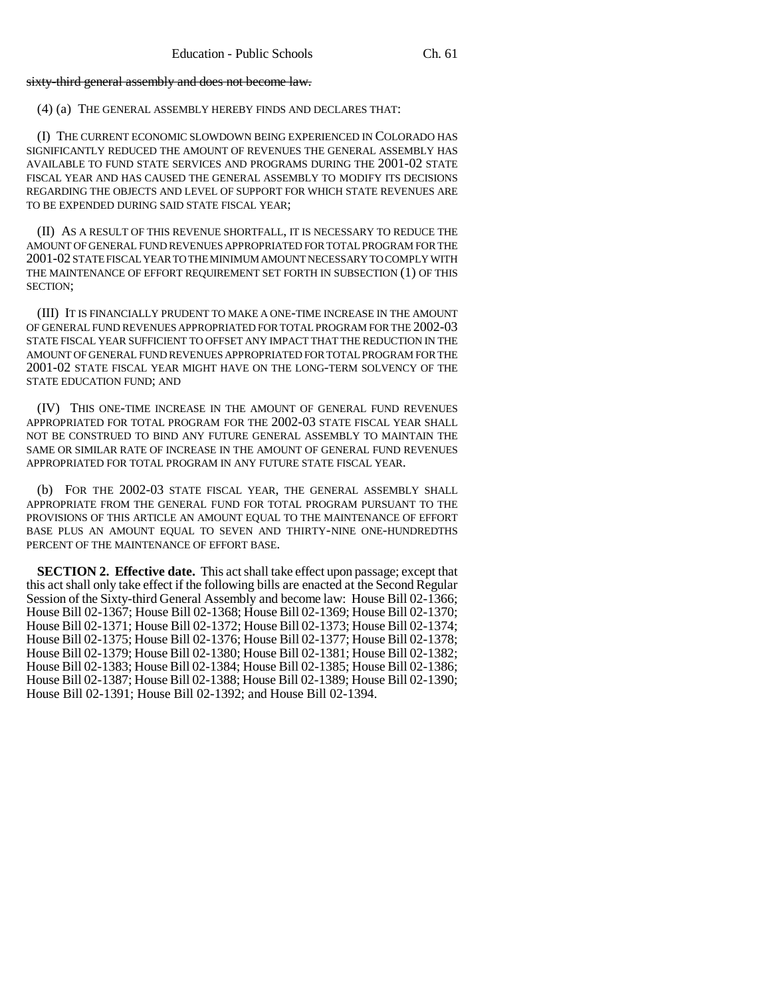sixty-third general assembly and does not become law.

(4) (a) THE GENERAL ASSEMBLY HEREBY FINDS AND DECLARES THAT:

(I) THE CURRENT ECONOMIC SLOWDOWN BEING EXPERIENCED IN COLORADO HAS SIGNIFICANTLY REDUCED THE AMOUNT OF REVENUES THE GENERAL ASSEMBLY HAS AVAILABLE TO FUND STATE SERVICES AND PROGRAMS DURING THE 2001-02 STATE FISCAL YEAR AND HAS CAUSED THE GENERAL ASSEMBLY TO MODIFY ITS DECISIONS REGARDING THE OBJECTS AND LEVEL OF SUPPORT FOR WHICH STATE REVENUES ARE TO BE EXPENDED DURING SAID STATE FISCAL YEAR;

(II) AS A RESULT OF THIS REVENUE SHORTFALL, IT IS NECESSARY TO REDUCE THE AMOUNT OF GENERAL FUND REVENUES APPROPRIATED FOR TOTAL PROGRAM FOR THE 2001-02 STATE FISCAL YEAR TO THE MINIMUM AMOUNT NECESSARY TO COMPLY WITH THE MAINTENANCE OF EFFORT REQUIREMENT SET FORTH IN SUBSECTION (1) OF THIS SECTION;

(III) IT IS FINANCIALLY PRUDENT TO MAKE A ONE-TIME INCREASE IN THE AMOUNT OF GENERAL FUND REVENUES APPROPRIATED FOR TOTAL PROGRAM FOR THE 2002-03 STATE FISCAL YEAR SUFFICIENT TO OFFSET ANY IMPACT THAT THE REDUCTION IN THE AMOUNT OF GENERAL FUND REVENUES APPROPRIATED FOR TOTAL PROGRAM FOR THE 2001-02 STATE FISCAL YEAR MIGHT HAVE ON THE LONG-TERM SOLVENCY OF THE STATE EDUCATION FUND; AND

(IV) THIS ONE-TIME INCREASE IN THE AMOUNT OF GENERAL FUND REVENUES APPROPRIATED FOR TOTAL PROGRAM FOR THE 2002-03 STATE FISCAL YEAR SHALL NOT BE CONSTRUED TO BIND ANY FUTURE GENERAL ASSEMBLY TO MAINTAIN THE SAME OR SIMILAR RATE OF INCREASE IN THE AMOUNT OF GENERAL FUND REVENUES APPROPRIATED FOR TOTAL PROGRAM IN ANY FUTURE STATE FISCAL YEAR.

(b) FOR THE 2002-03 STATE FISCAL YEAR, THE GENERAL ASSEMBLY SHALL APPROPRIATE FROM THE GENERAL FUND FOR TOTAL PROGRAM PURSUANT TO THE PROVISIONS OF THIS ARTICLE AN AMOUNT EQUAL TO THE MAINTENANCE OF EFFORT BASE PLUS AN AMOUNT EQUAL TO SEVEN AND THIRTY-NINE ONE-HUNDREDTHS PERCENT OF THE MAINTENANCE OF EFFORT BASE.

**SECTION 2. Effective date.** This act shall take effect upon passage; except that this act shall only take effect if the following bills are enacted at the Second Regular Session of the Sixty-third General Assembly and become law: House Bill 02-1366; House Bill 02-1367; House Bill 02-1368; House Bill 02-1369; House Bill 02-1370; House Bill 02-1371; House Bill 02-1372; House Bill 02-1373; House Bill 02-1374; House Bill 02-1375; House Bill 02-1376; House Bill 02-1377; House Bill 02-1378; House Bill 02-1379; House Bill 02-1380; House Bill 02-1381; House Bill 02-1382; House Bill 02-1383; House Bill 02-1384; House Bill 02-1385; House Bill 02-1386; House Bill 02-1387; House Bill 02-1388; House Bill 02-1389; House Bill 02-1390; House Bill 02-1391; House Bill 02-1392; and House Bill 02-1394.